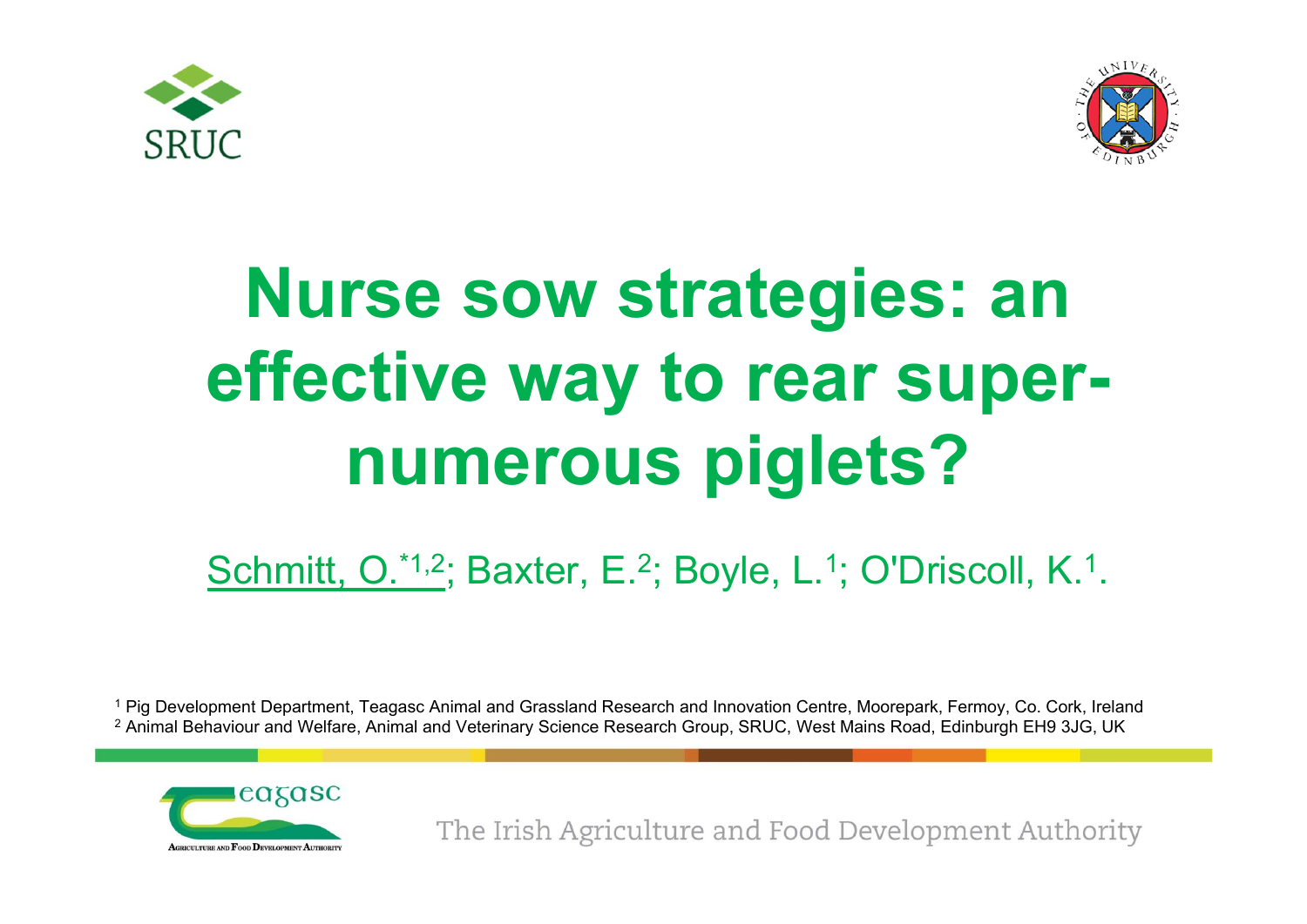



## **Nurse sow strategies: an effective way to rear supernumerous piglets?**

## Schmitt, O.\*1,2; Baxter, E.<sup>2</sup>; Boyle, L.<sup>1</sup>; O'Driscoll, K.<sup>1</sup>.

1 Pig Development Department, Teagasc Animal and Grassland Research and Innovation Centre, Moorepark, Fermoy, Co. Cork, Ireland <sup>2</sup> Animal Behaviour and Welfare, Animal and Veterinary Science Research Group, SRUC, West Mains Road, Edinburgh EH9 3JG, UK

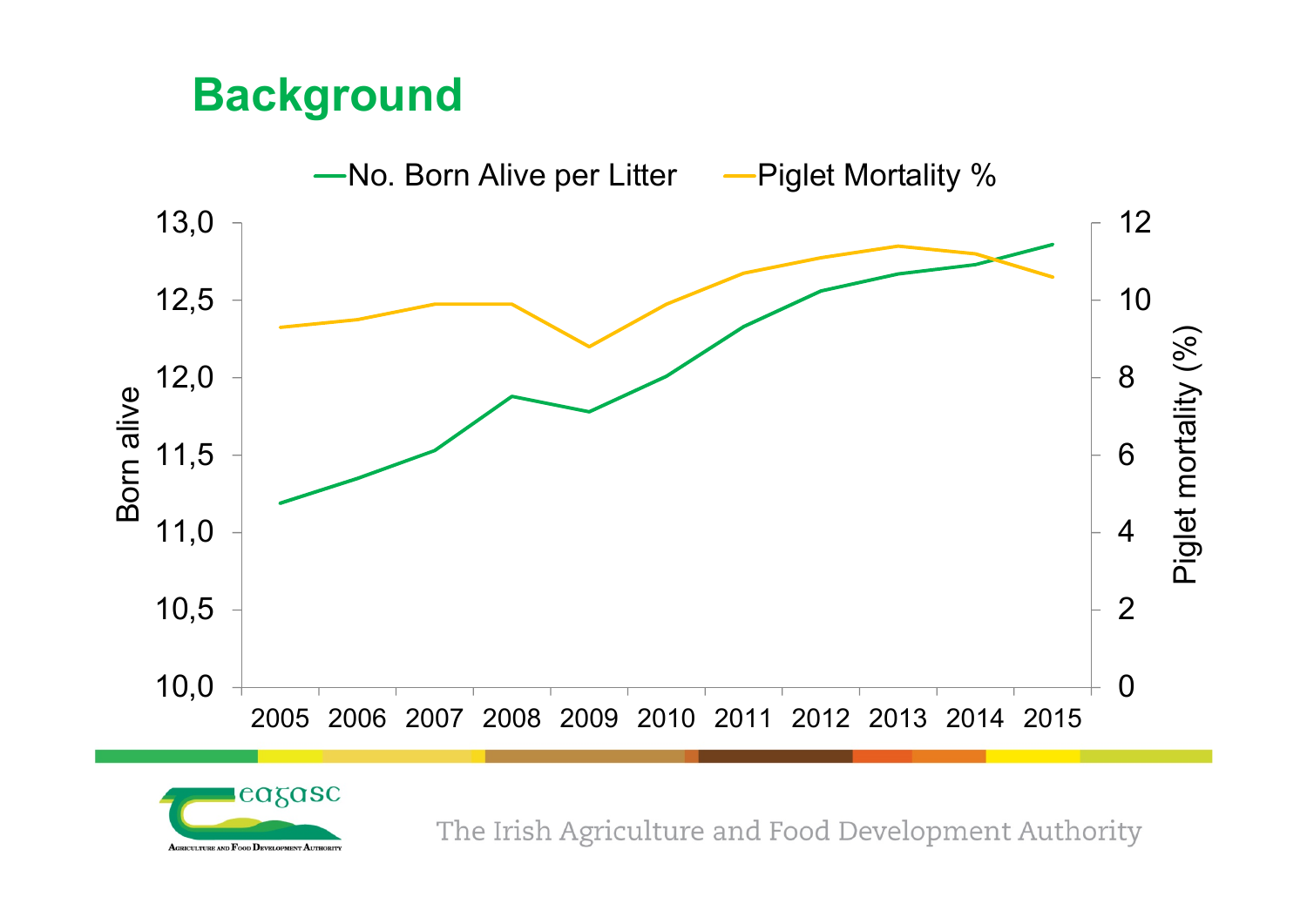## **Background**



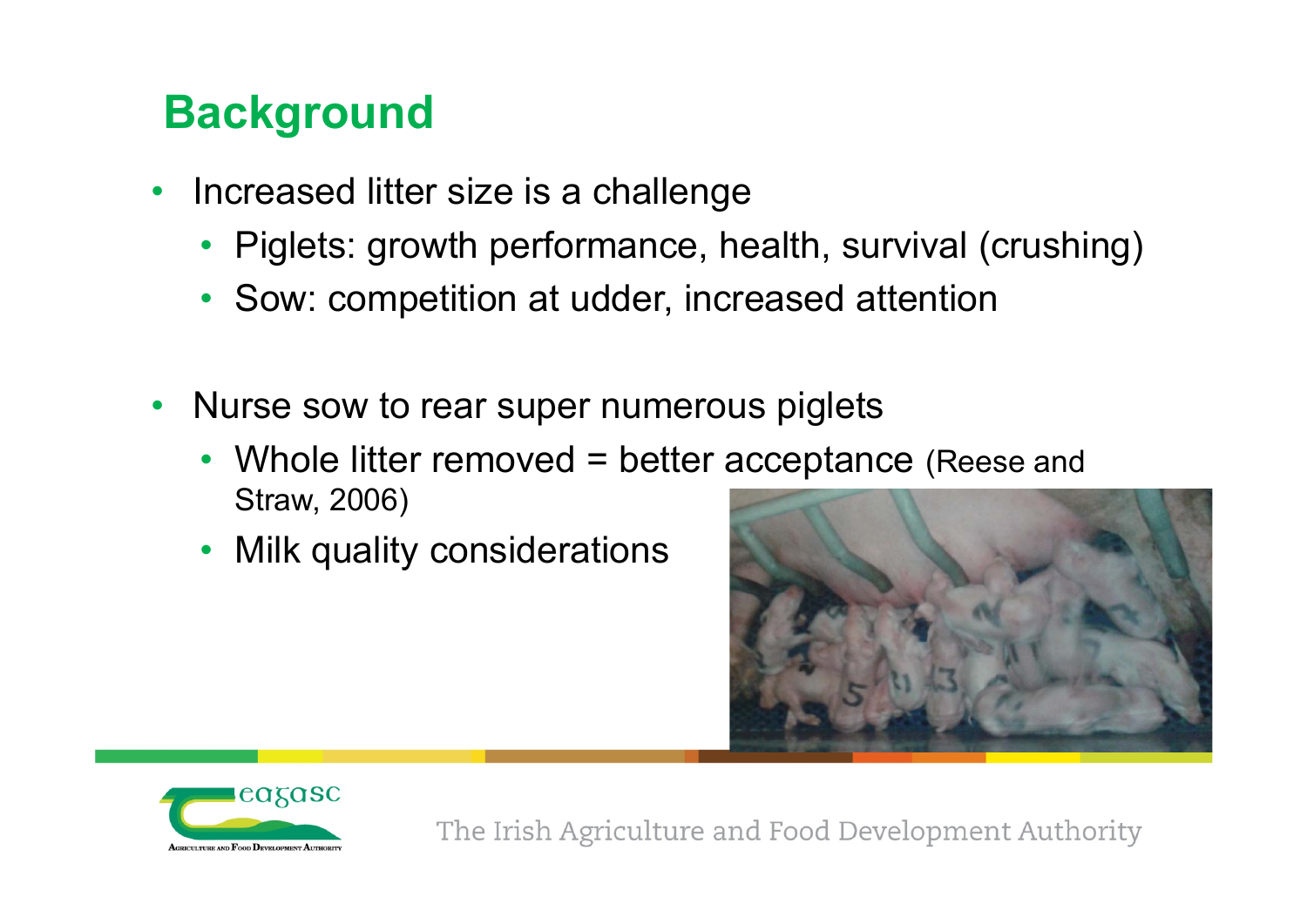## **Background**

- Increased litter size is a challenge
	- Piglets: growth performance, health, survival (crushing)
	- Sow: competition at udder, increased attention
- • Nurse sow to rear super numerous piglets
	- • Whole litter removed = better acceptance (Reese and Straw, 2006)
	- Milk quality considerations



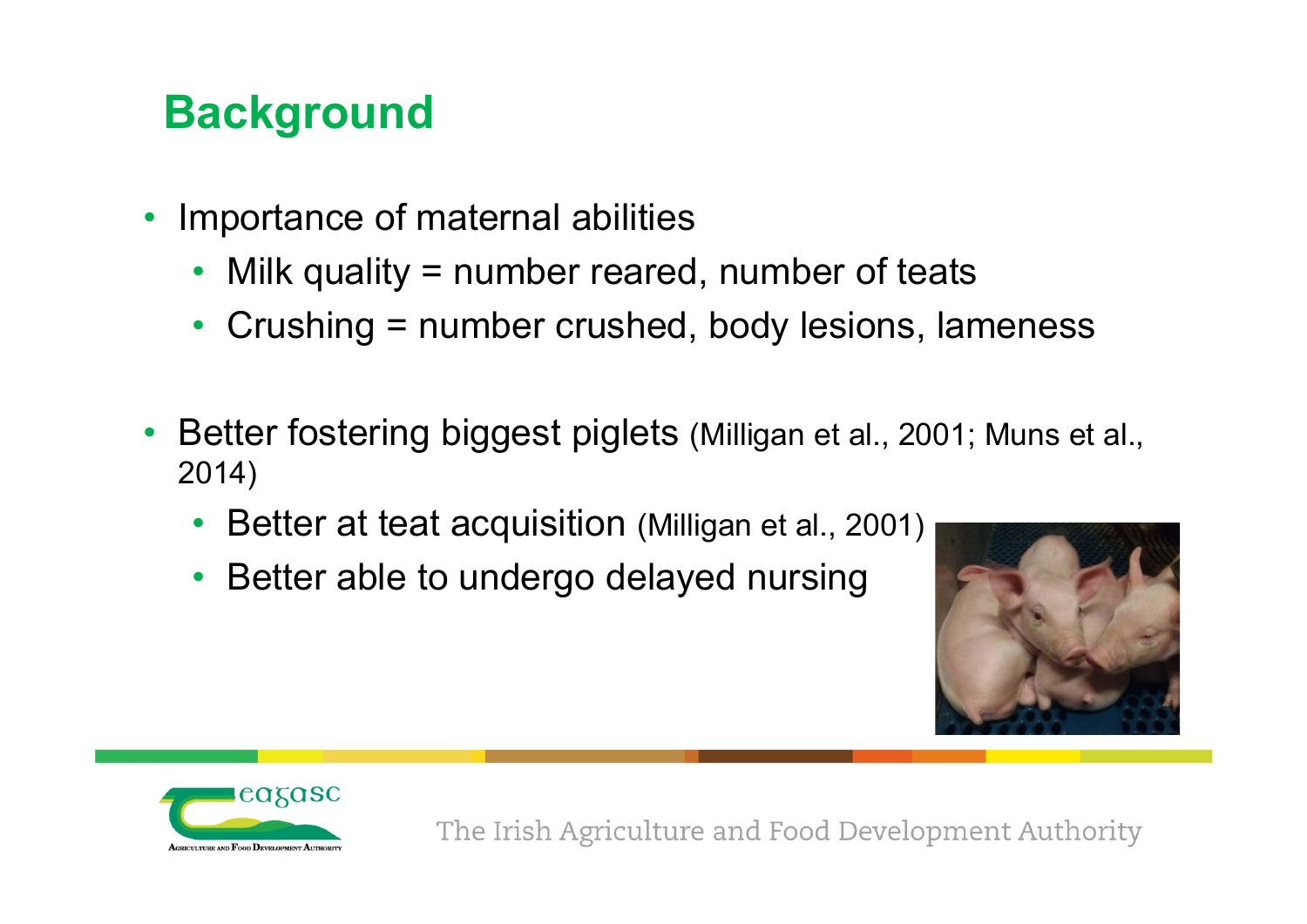## **Background**

- $\bullet$  Importance of maternal abilities
	- Milk quality = number reared, number of teats
	- Crushing = number crushed, body lesions, lameness
- $\bullet$  Better fostering biggest piglets (Milligan et al., 2001; Muns et al., 2014)
	- •Better at teat acquisition (Milligan et al., 2001)
	- Better able to undergo delayed nursing



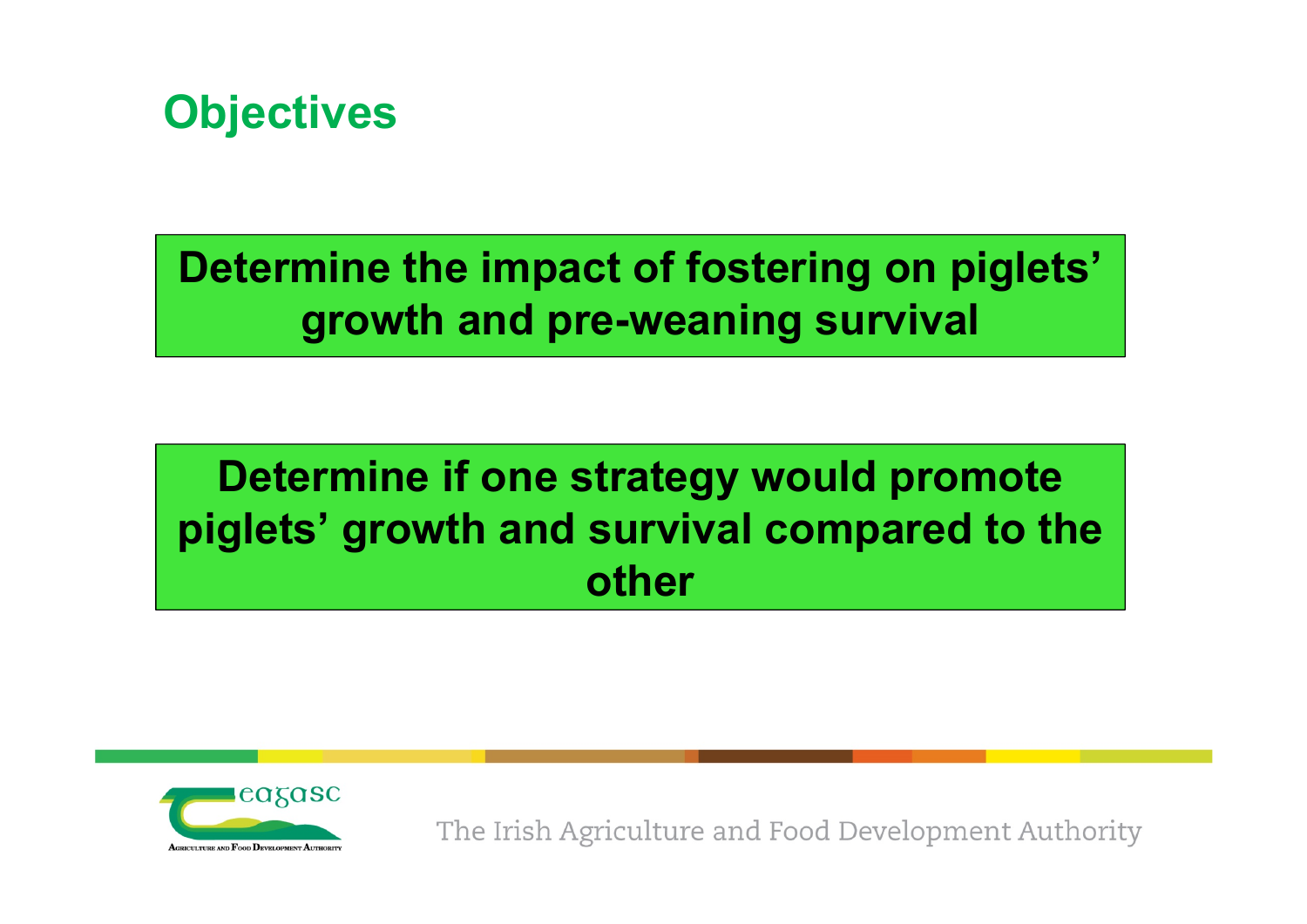

### **Determine the impact of fostering on piglets' growth and pre-weaning survival**

## **Determine if one strategy would promote piglets' growth and survival compared to the other**

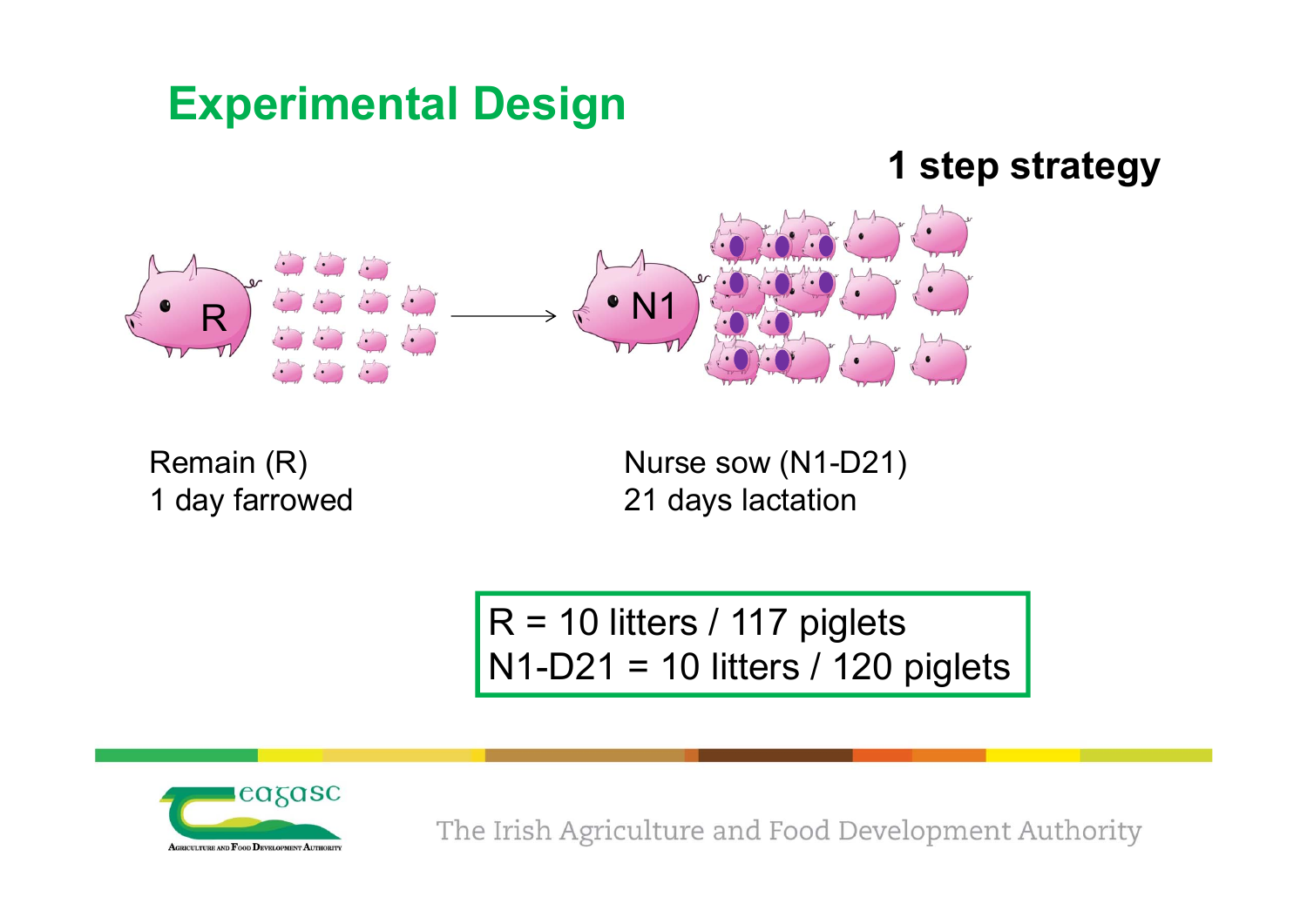## **Experimental Design**

#### **1 step strategy**



Remain (R) 1 day farrowed Nurse sow (N1-D21) 21 days lactation

 $R = 10$  litters / 117 piglets  $N1-D21 = 10$  litters / 120 piglets

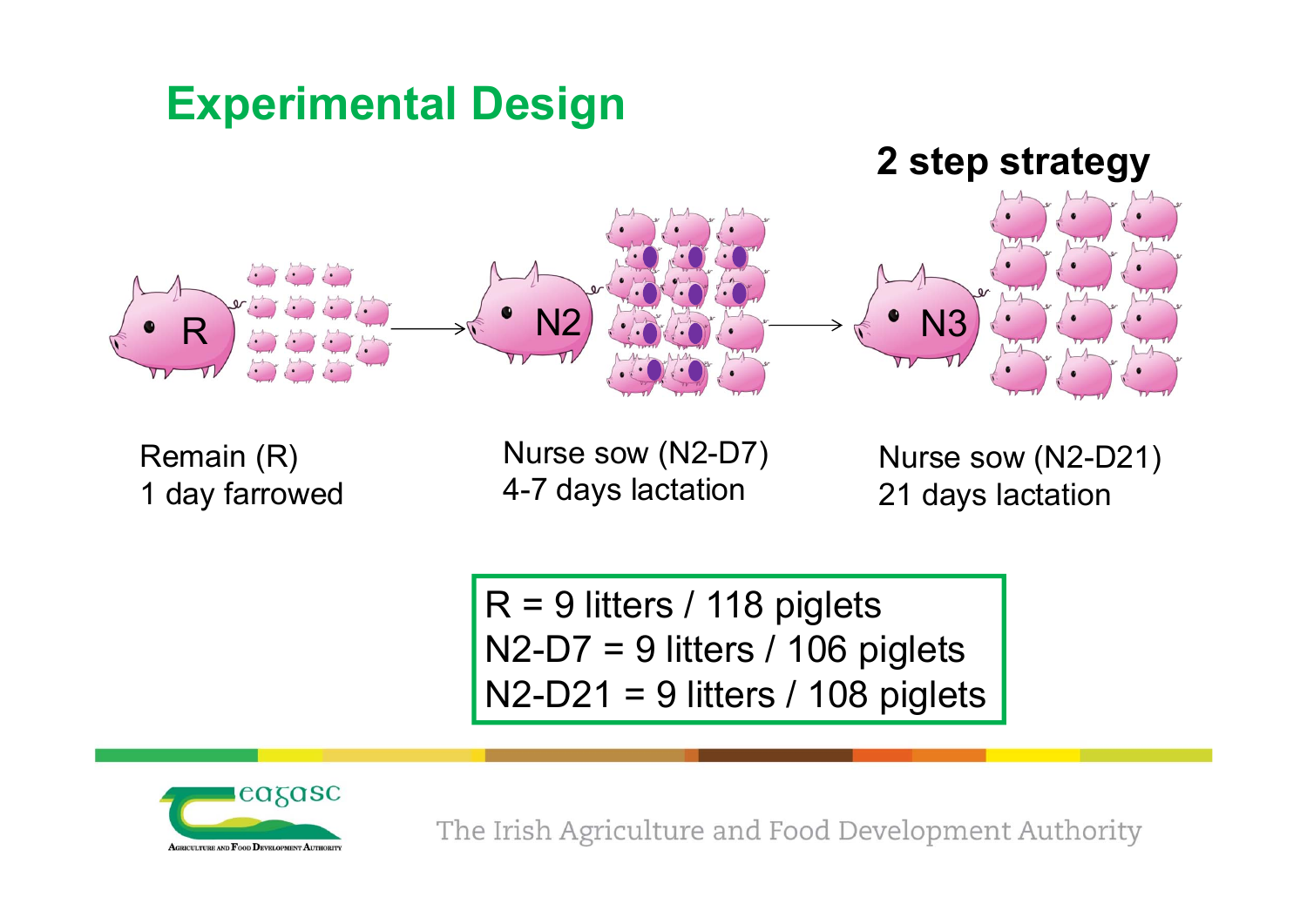## **Experimental Design**



Remain (R) 1 day farrowed

Nurse sow (N2-D7) 4-7 days lactation

Nurse sow (N2-D21) 21 days lactation

 $R = 9$  litters / 118 piglets  $N2-D7 = 9$  litters / 106 piglets  $N2-D21 = 9$  litters / 108 piglets

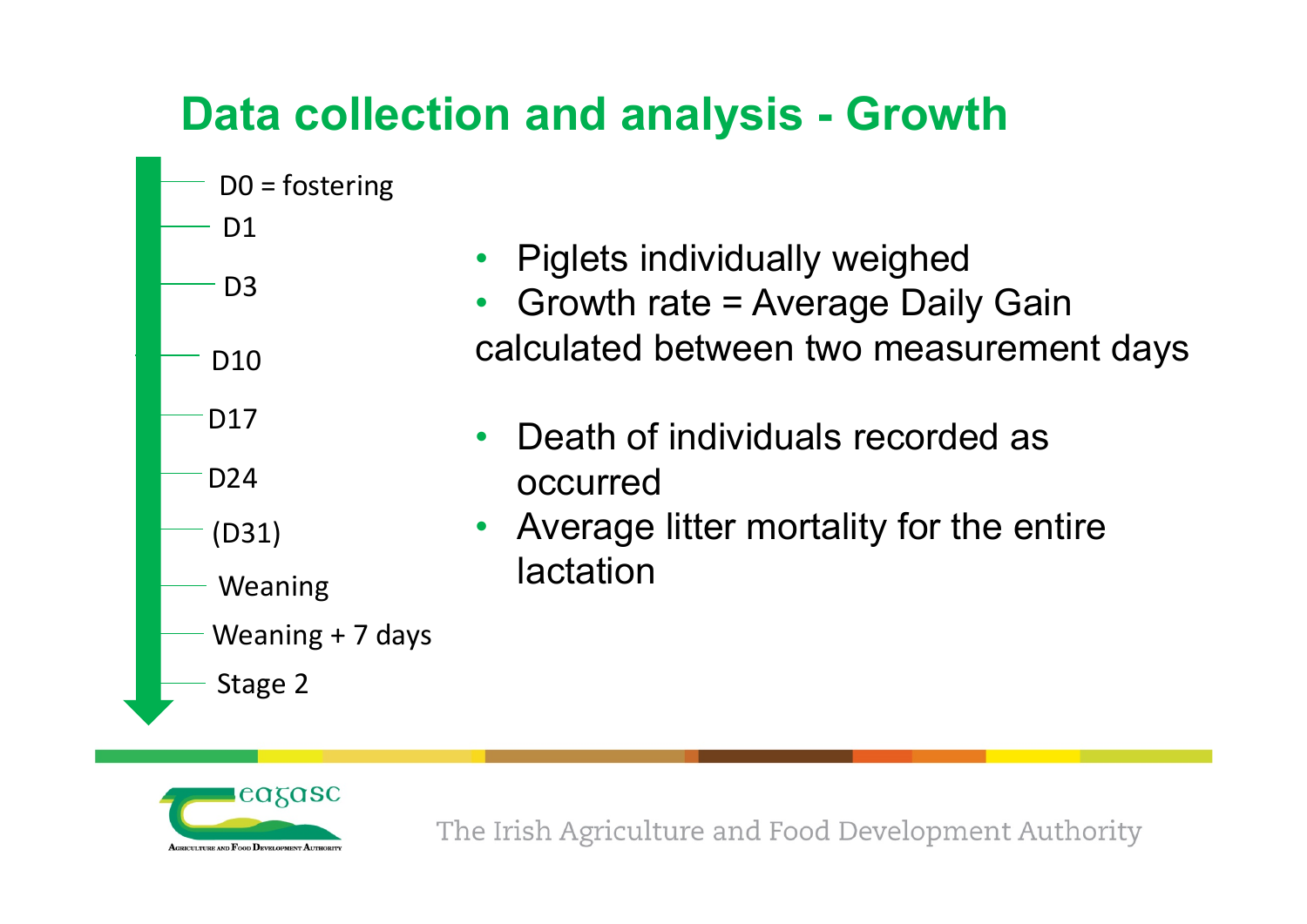## **Data collection and analysis - Growth**



- •Piglets individually weighed
- • Growth rate = Average Daily Gain calculated between two measurement days
- • Death of individuals recorded as occurred
- $\bullet$  Average litter mortality for the entire **lactation**

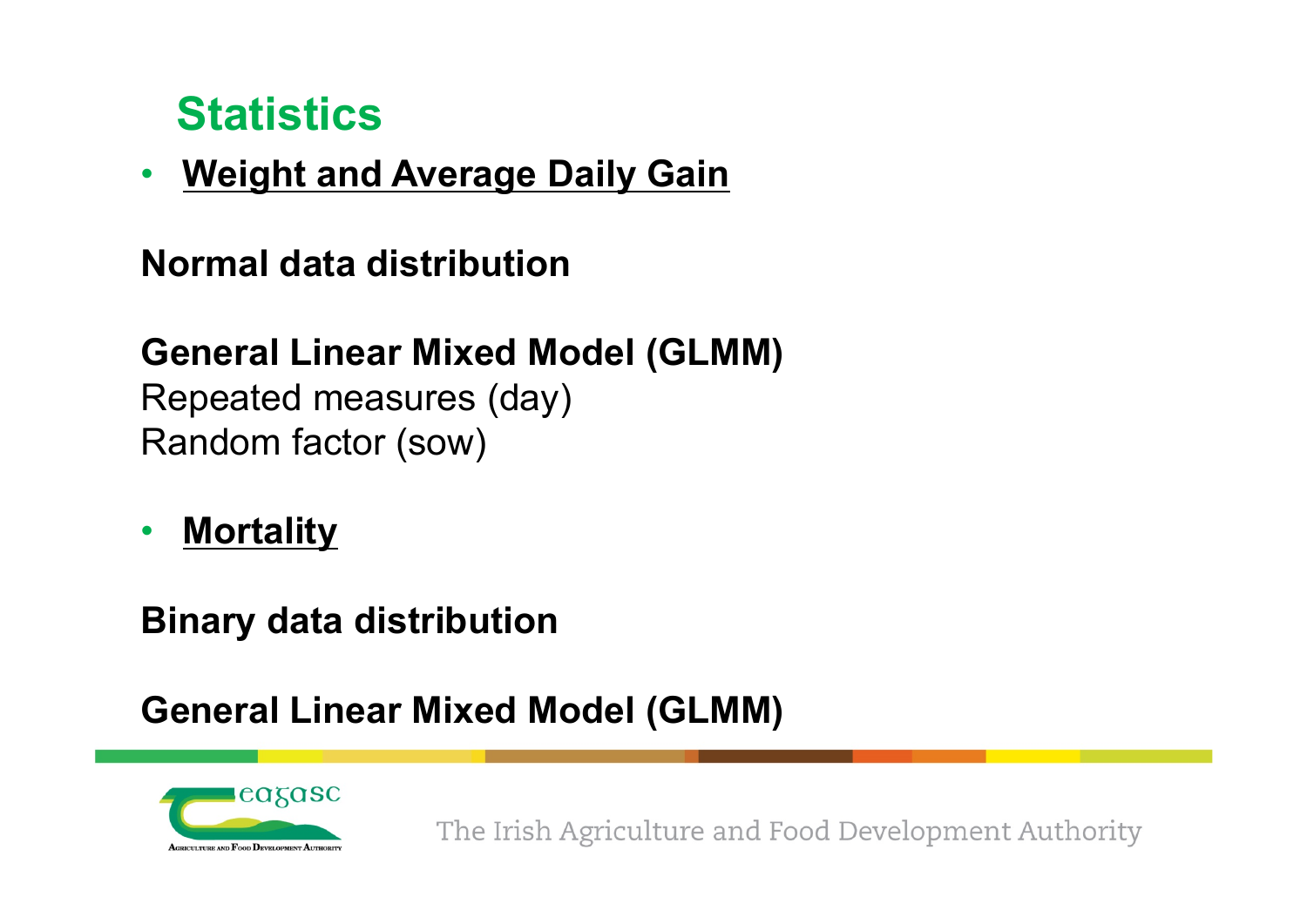## **Statistics**

 $\bullet$ **Weight and Average Daily Gain**

#### **Normal data distribution**

#### **General Linear Mixed Model (GLMM)**

Repeated measures (day) Random factor (sow)

•**Mortality**

**Binary data distribution**

#### **General Linear Mixed Model (GLMM)**

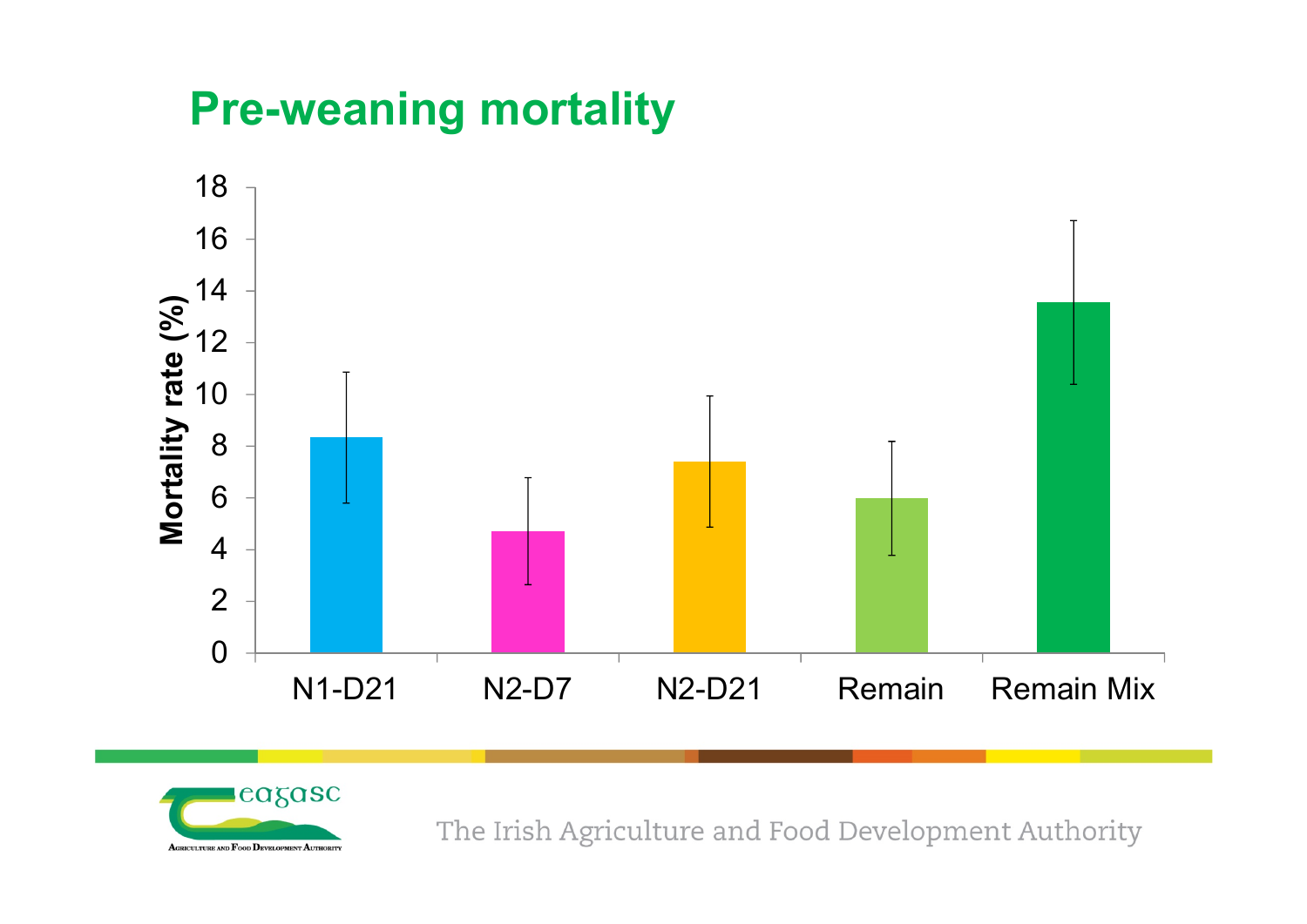## **Pre-weaning mortality**



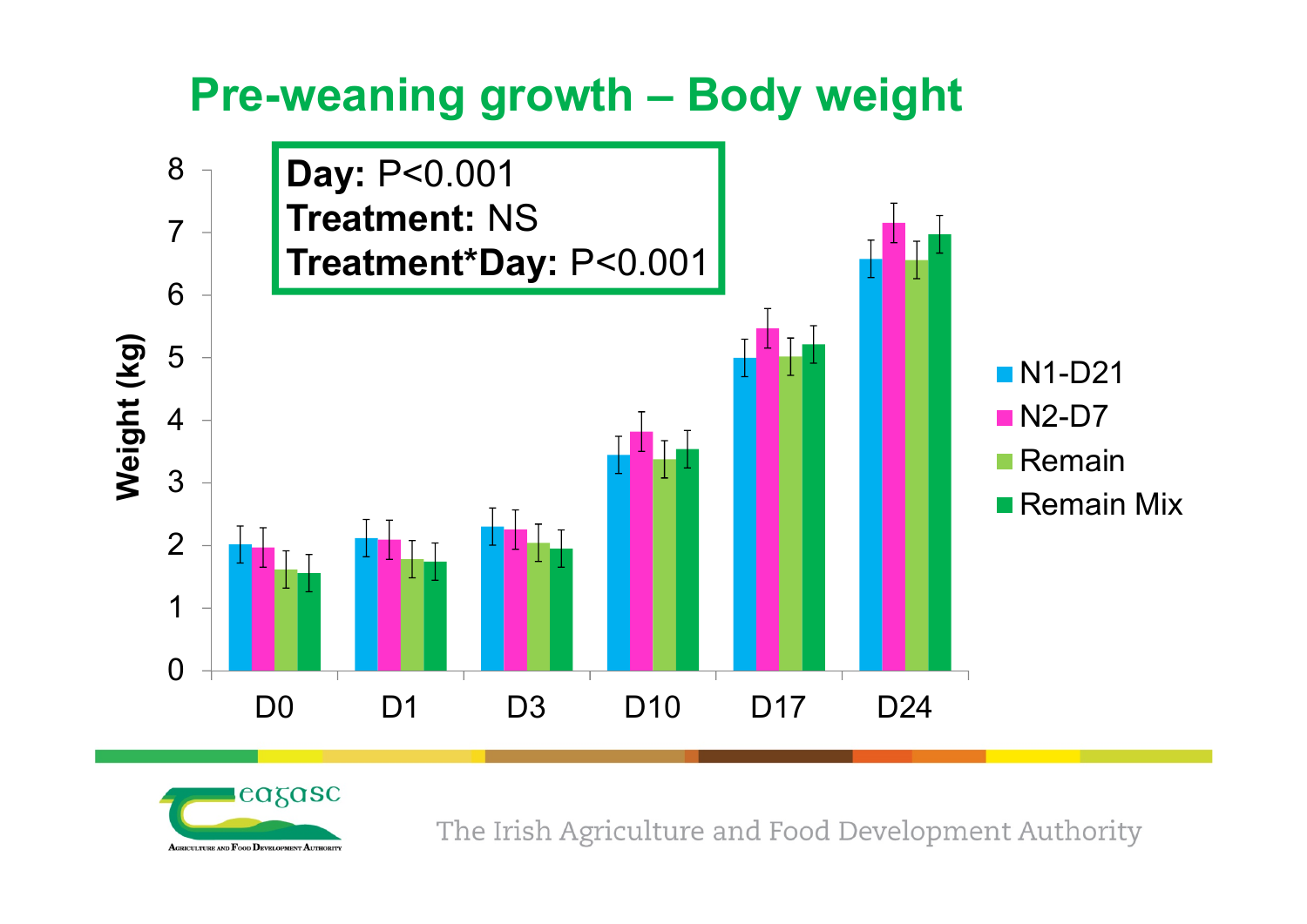## **Pre-weaning growth – Body weight**



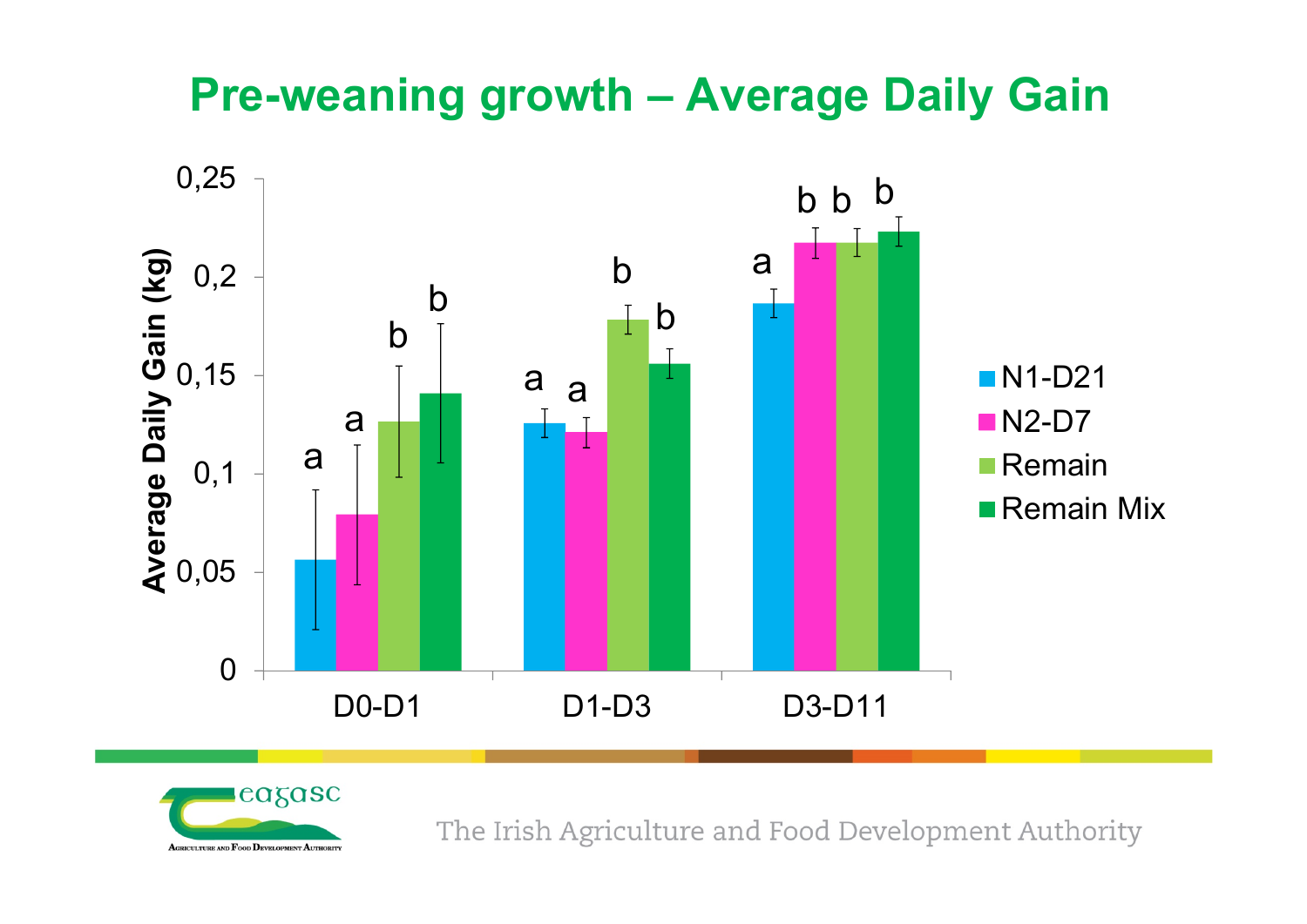## **Pre-weaning growth – Average Daily Gain**



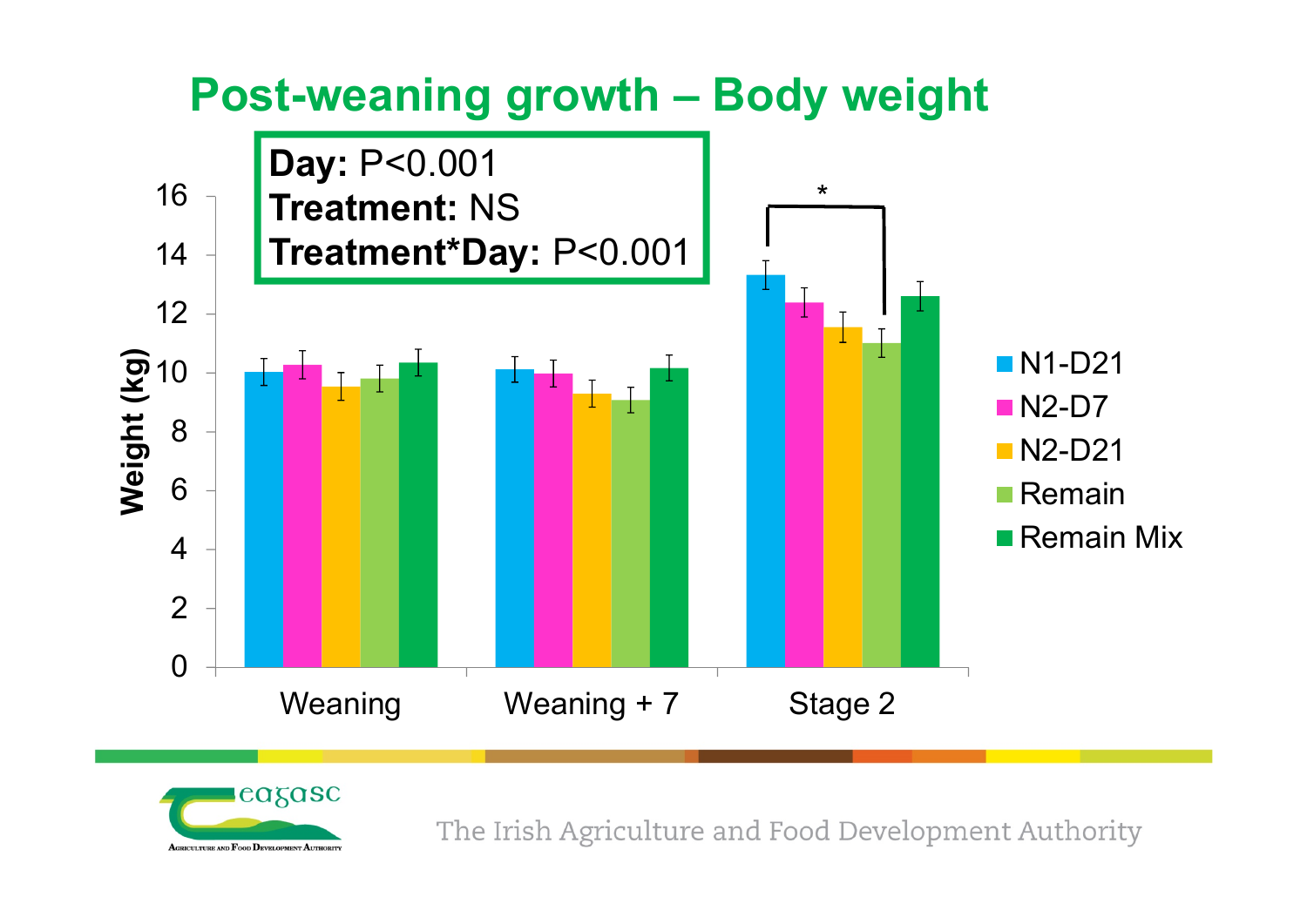

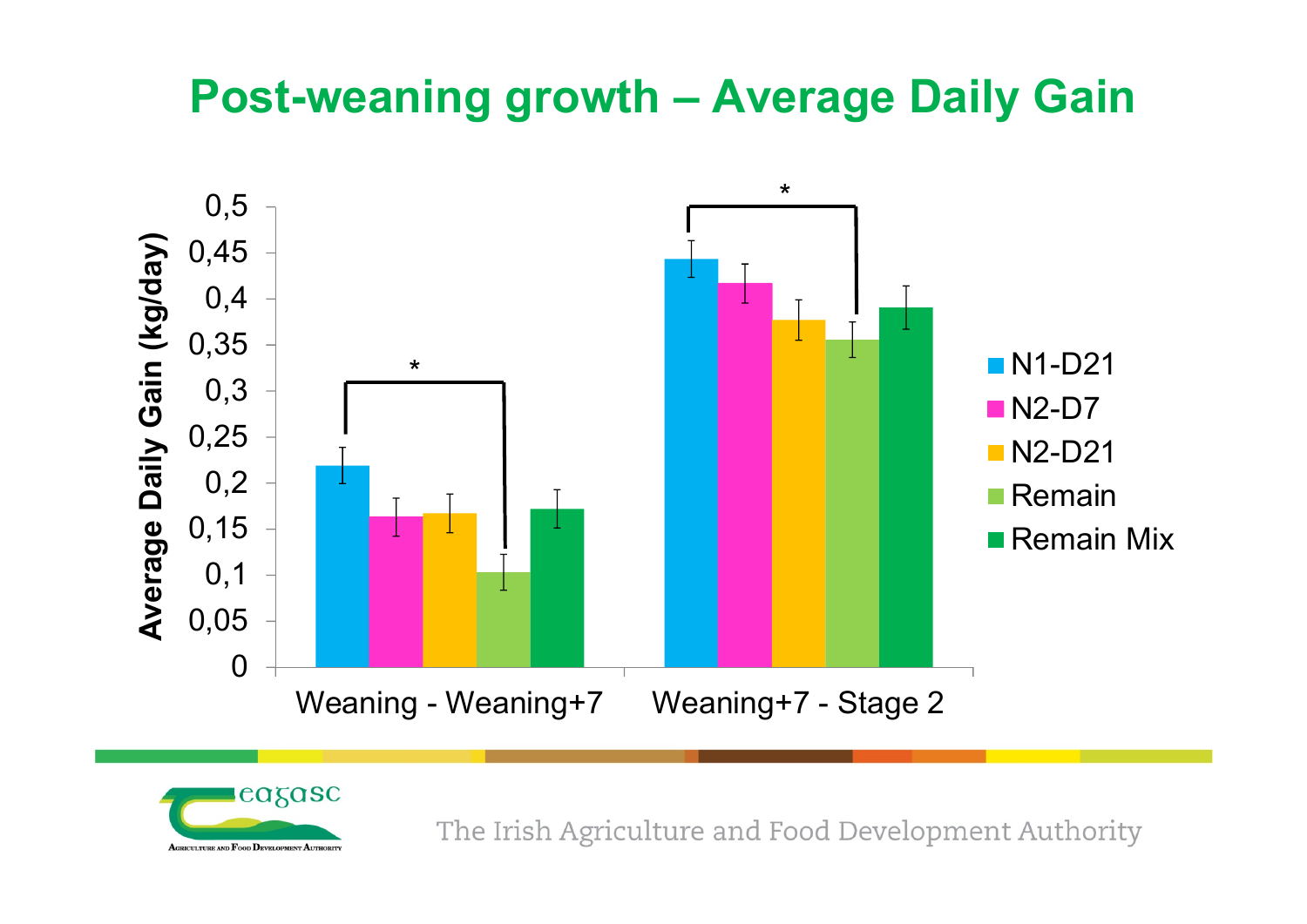## **Post-weaning growth – Average Daily Gain**



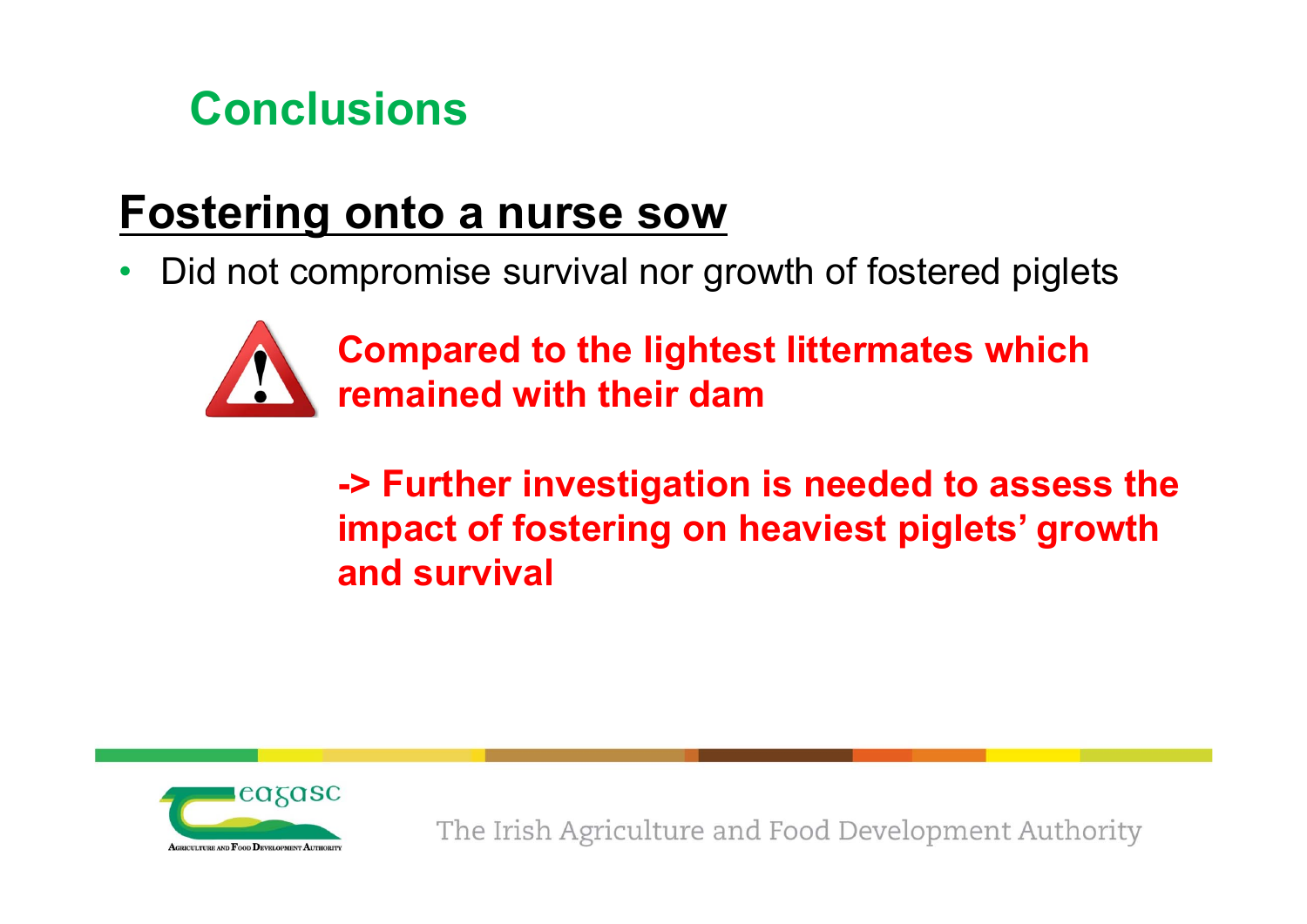

## **Fostering onto a nurse sow**

•Did not compromise survival nor growth of fostered piglets



**Compared to the lightest littermates which remained with their dam**

**-> Further investigation is needed to assess the impact of fostering on heaviest piglets' growth and survival**

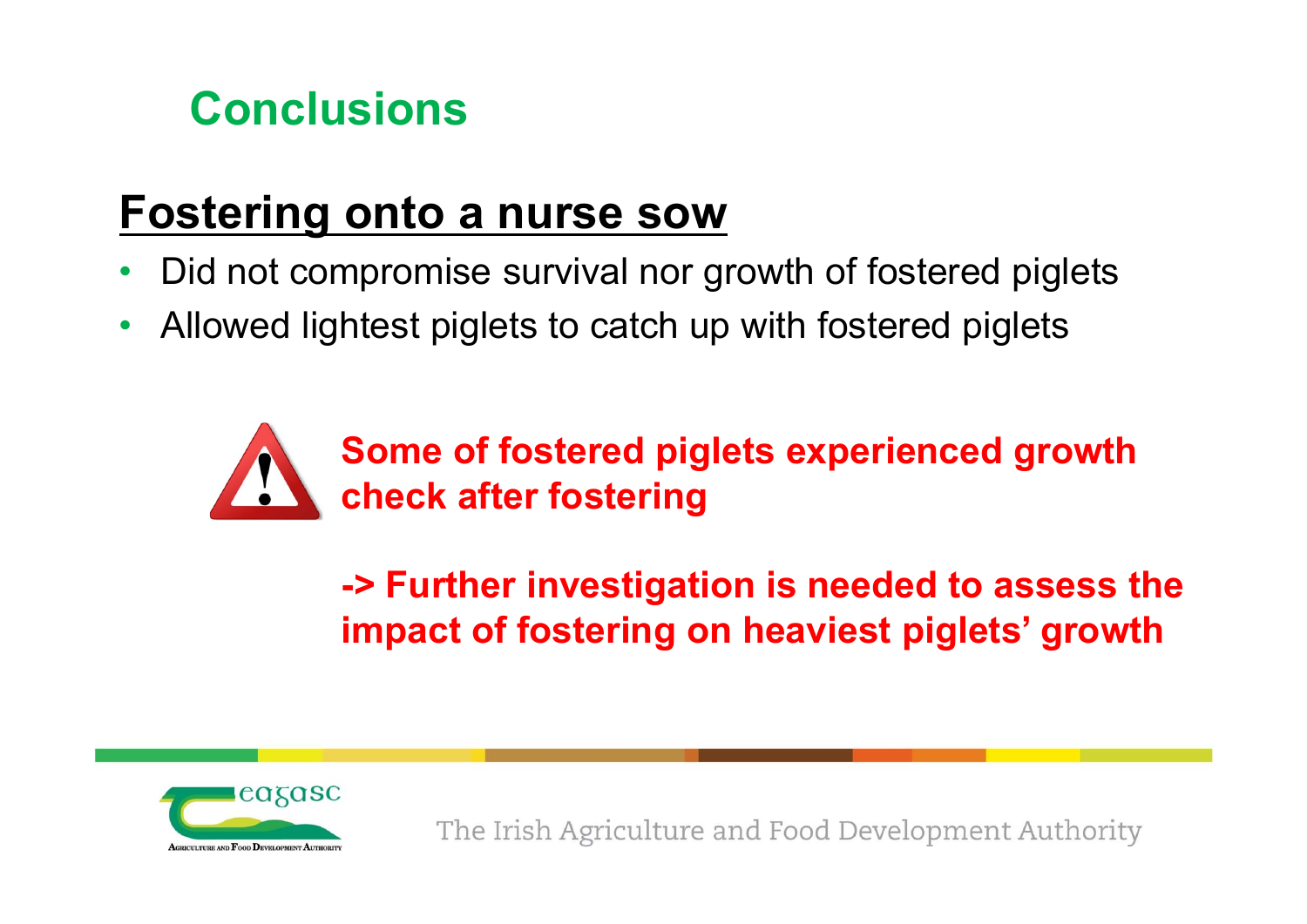

## **Fostering onto a nurse sow**

- •Did not compromise survival nor growth of fostered piglets
- •Allowed lightest piglets to catch up with fostered piglets



**-> Further investigation is needed to assess the impact of fostering on heaviest piglets' growth**

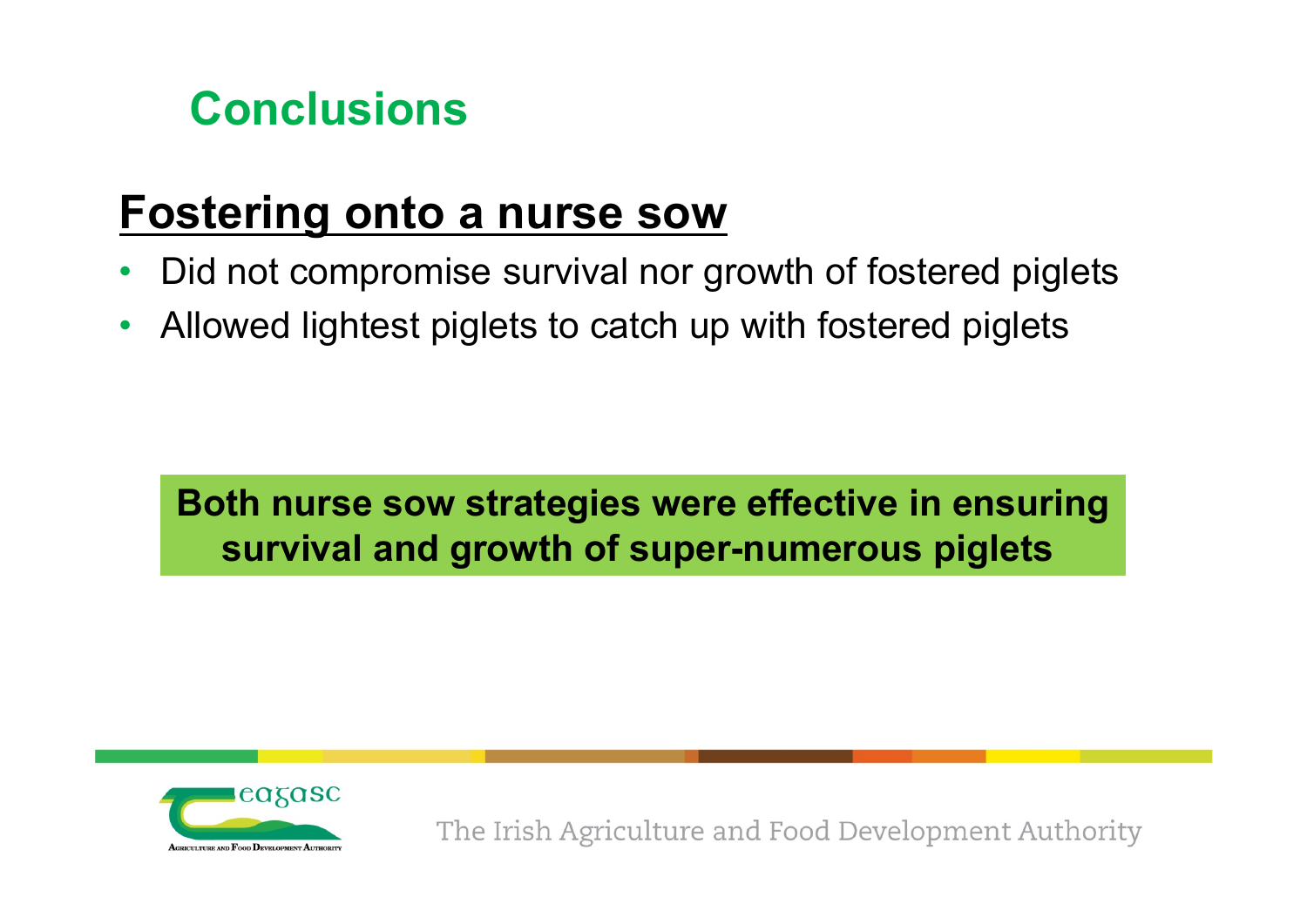

## **Fostering onto a nurse sow**

- •Did not compromise survival nor growth of fostered piglets
- •Allowed lightest piglets to catch up with fostered piglets

**Both nurse sow strategies were effective in ensuring survival and growth of super-numerous piglets**